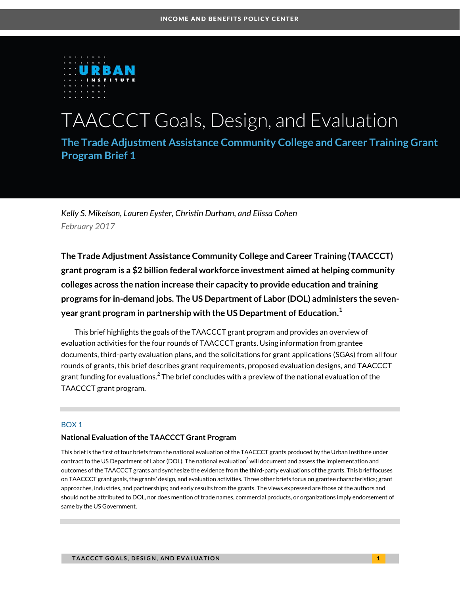

# TAACCCT Goals, Design, and Evaluation

**The Trade Adjustment Assistance Community College and Career Training Grant Program Brief 1**

*Kelly S. Mikelson, Lauren Eyster, Christin Durham, and Elissa Cohen February 2017* 

**The Trade Adjustment Assistance Community College and Career Training (TAACCCT) grant program is a \$2 billion federal workforce investment aimed at helping community colleges across the nation increase their capacity to provide education and training programs for in-demand jobs. The US Department of Labor (DOL) administers the sevenyear grant program in partnership with the US Department of Education.<sup>1</sup>**

This brief highlights the goals of the TAACCCT grant program and provides an overview of evaluation activities for the four rounds of TAACCCT grants. Using information from grantee documents, third-party evaluation plans, and the solicitations for grant applications (SGAs) from all four rounds of grants, this brief describes grant requirements, proposed evaluation designs, and TAACCCT grant funding for evaluations. $^2$  The brief concludes with a preview of the national evaluation of the TAACCCT grant program.

### BOX 1

### **National Evaluation of the TAACCCT Grant Program**

This brief is the first of four briefs from the national evaluation of the TAACCCT grants produced by the Urban Institute under contract to the US Department of Labor (DOL). The national evaluation $^3$  will document and assess the implementation and outcomes of the TAACCCT grants and synthesize the evidence from the third-party evaluations of the grants. This brief focuses on TAACCCT grant goals, the grants' design, and evaluation activities. Three other briefs focus on grantee characteristics; grant approaches, industries, and partnerships; and early results from the grants. The views expressed are those of the authors and should not be attributed to DOL, nor does mention of trade names, commercial products, or organizations imply endorsement of same by the US Government.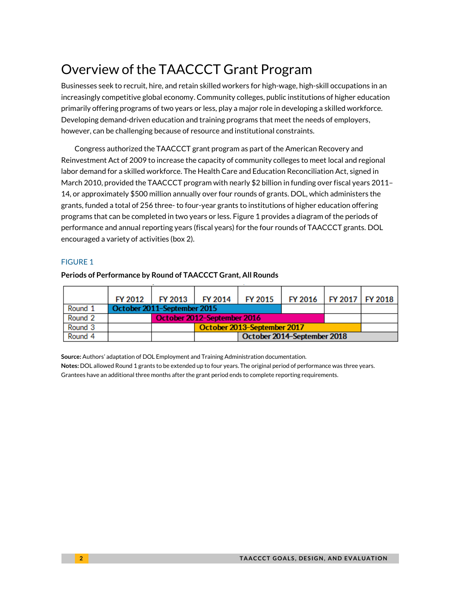# Overview of the TAACCCT Grant Program

Businesses seek to recruit, hire, and retain skilled workers for high-wage, high-skill occupations in an increasingly competitive global economy. Community colleges, public institutions of higher education primarily offering programs of two years or less, play a major role in developing a skilled workforce. Developing demand-driven education and training programs that meet the needs of employers, however, can be challenging because of resource and institutional constraints.

Congress authorized the TAACCCT grant program as part of the American Recovery and Reinvestment Act of 2009 to increase the capacity of community colleges to meet local and regional labor demand for a skilled workforce. The Health Care and Education Reconciliation Act, signed in March 2010, provided the TAACCCT program with nearly \$2 billion in funding over fiscal years 2011– 14, or approximately \$500 million annually over four rounds of grants. DOL, which administers the grants, funded a total of 256 three- to four-year grants to institutions of higher education offering programs that can be completed in two years or less. Figure 1 provides a diagram of the periods of performance and annual reporting years (fiscal years) for the four rounds of TAACCCT grants. DOL encouraged a variety of activities (box 2).

# FIGURE 1

|         | FY 2012 | FY 2013 1 | <b>FY 2014</b>              | FY 2015                     | FY 2016   FY 2017   FY 2018 |  |  |  |  |  |  |
|---------|---------|-----------|-----------------------------|-----------------------------|-----------------------------|--|--|--|--|--|--|
| Round 1 |         |           | October 2011-September 2015 |                             |                             |  |  |  |  |  |  |
| Round 2 |         |           | October 2012-September 2016 |                             |                             |  |  |  |  |  |  |
| Round 3 |         |           |                             | October 2013-September 2017 |                             |  |  |  |  |  |  |
| Round 4 |         |           | October 2014-September 2018 |                             |                             |  |  |  |  |  |  |

# **Periods of Performance by Round of TAACCCT Grant, All Rounds**

**Source:** Authors' adaptation of DOL Employment and Training Administration documentation. **Notes:** DOL allowed Round 1 grants to be extended up to four years. The original period of performance was three years. Grantees have an additional three months after the grant period ends to complete reporting requirements.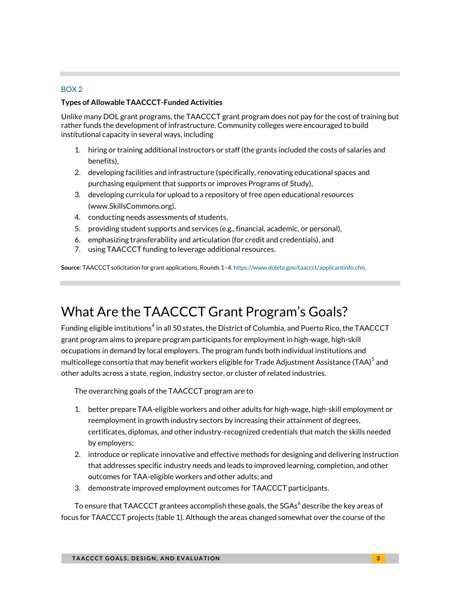### BOX 2

# **Types of Allowable TAACCCT-Funded Activities**

Unlike many DOL grant programs, the TAACCCT grant program does not pay for the cost of training but rather funds the development of infrastructure. Community colleges were encouraged to build institutional capacity in several ways, including

- 1. hiring or training additional instructors or staff (the grants included the costs of salaries and benefits),
- 2. developing facilities and infrastructure (specifically, renovating educational spaces and purchasing equipment that supports or improves Programs of Study),
- 3. developing curricula for upload to a repository of free open educational resources (www.SkillsCommons.org),
- 4. conducting needs assessments of students,
- 5. providing student supports and services (e.g., financial, academic, or personal),
- 6. emphasizing transferability and articulation (for credit and credentials), and
- 7. using TAACCCT funding to leverage additional resources.

**Source**: TAACCCT solicitation for grant applications, Rounds 1–4[. https://www.doleta.gov/taaccct/applicantinfo.cfm.](https://www.doleta.gov/taaccct/applicantinfo.cfm) 

# What Are the TAACCCT Grant Program's Goals?

Funding eligible institutions $^4$  in all 50 states, the District of Columbia, and Puerto Rico, the TAACCCT grant program aims to prepare program participants for employment in high-wage, high-skill occupations in demand by local employers. The program funds both individual institutions and multicollege consortia that may benefit workers eligible for Trade Adjustment Assistance (TAA) $^{\rm 5}$  and other adults across a state, region, industry sector, or cluster of related industries.

The overarching goals of the TAACCCT program are to

- 1. better prepare TAA-eligible workers and other adults for high-wage, high-skill employment or reemployment in growth industry sectors by increasing their attainment of degrees, certificates, diplomas, and other industry-recognized credentials that match the skills needed by employers;
- 2. introduce or replicate innovative and effective methods for designing and delivering instruction that addresses specific industry needs and leads to improved learning, completion, and other outcomes for TAA-eligible workers and other adults; and
- 3. demonstrate improved employment outcomes for TAACCCT participants.

To ensure that TAACCCT grantees accomplish these goals, the SGAs $^6$  describe the key areas of focus for TAACCCT projects (table 1). Although the areas changed somewhat over the course of the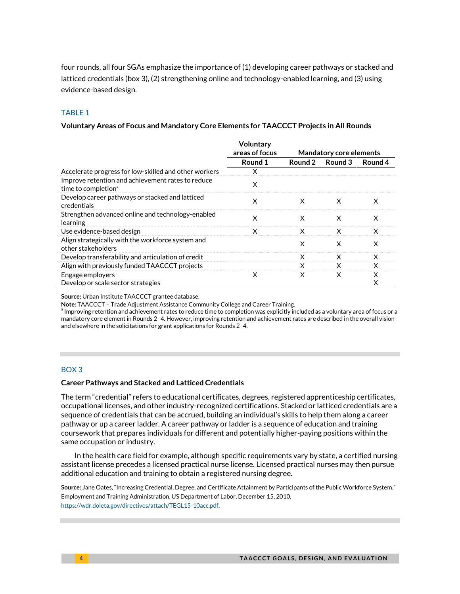four rounds, all four SGAs emphasize the importance of (1) developing career pathways or stacked and latticed credentials (box 3), (2) strengthening online and technology-enabled learning, and (3) using evidence-based design.

### TABLE 1

### **Voluntary Areas of Focus and Mandatory Core Elements for TAACCCT Projects in All Rounds**

|                                                                                      | Voluntary<br>areas of focus |         | <b>Mandatory core elements</b> |         |
|--------------------------------------------------------------------------------------|-----------------------------|---------|--------------------------------|---------|
|                                                                                      | Round 1                     | Round 2 | Round 3                        | Round 4 |
| Accelerate progress for low-skilled and other workers                                | х                           |         |                                |         |
| Improve retention and achievement rates to reduce<br>time to completion <sup>a</sup> | X                           |         |                                |         |
| Develop career pathways or stacked and latticed<br>credentials                       | x                           | х       | х                              | х       |
| Strengthen advanced online and technology-enabled<br>learning                        | x                           | х       | x                              | X       |
| Use evidence-based design                                                            | x                           | x       | X                              | X       |
| Align strategically with the workforce system and<br>other stakeholders              |                             | x       | X                              | X       |
| Develop transferability and articulation of credit                                   |                             | X       | X                              | X       |
| Align with previously funded TAACCCT projects                                        |                             | x       | X                              | X       |
| Engage employers                                                                     | x                           | x       | X                              | X       |
| Develop or scale sector strategies                                                   |                             |         |                                | Χ       |

**Source:** Urban Institute TAACCCT grantee database.

**Note:** TAACCCT = Trade Adjustment Assistance Community College and Career Training.

<sup>a</sup> Improving retention and achievement rates to reduce time to completion was explicitly included as a voluntary area of focus or a mandatory core element in Rounds 2–4. However, improving retention and achievement rates are described in the overall vision and elsewhere in the solicitations for grant applications for Rounds 2–4.

### BOX 3

#### **Career Pathways and Stacked and Latticed Credentials**

The term "credential" refers to educational certificates, degrees, registered apprenticeship certificates, occupational licenses, and other industry-recognized certifications. Stacked or latticed credentials are a sequence of credentials that can be accrued, building an individual's skills to help them along a career pathway or up a career ladder. A career pathway or ladder is a sequence of education and training coursework that prepares individuals for different and potentially higher-paying positions within the same occupation or industry.

In the health care field for example, although specific requirements vary by state, a certified nursing assistant license precedes a licensed practical nurse license. Licensed practical nurses may then pursue additional education and training to obtain a registered nursing degree.

**Source:** Jane Oates, "Increasing Credential, Degree, and Certificate Attainment by Participants of the Public Workforce System," Employment and Training Administration, US Department of Labor, December 15, 2010, [https://wdr.doleta.gov/directives/attach/TEGL15-10acc.pdf.](https://wdr.doleta.gov/directives/attach/TEGL15-10acc.pdf)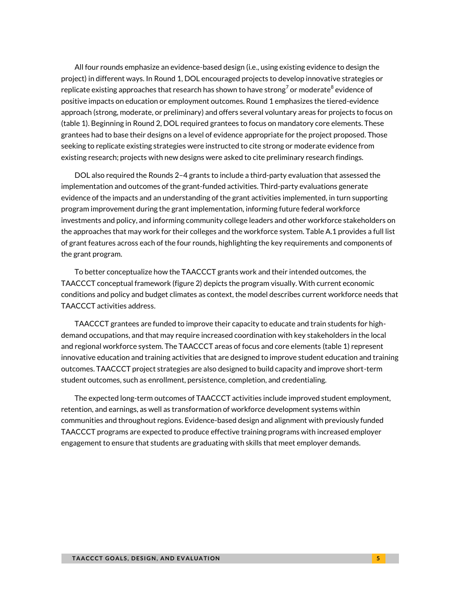All four rounds emphasize an evidence-based design (i.e., using existing evidence to design the project) in different ways. In Round 1, DOL encouraged projects to develop innovative strategies or replicate existing approaches that research has shown to have strong<sup>7</sup> or moderate<sup>8</sup> evidence of positive impacts on education or employment outcomes. Round 1 emphasizes the tiered-evidence approach (strong, moderate, or preliminary) and offers several voluntary areas for projects to focus on (table 1). Beginning in Round 2, DOL required grantees to focus on mandatory core elements. These grantees had to base their designs on a level of evidence appropriate for the project proposed. Those seeking to replicate existing strategies were instructed to cite strong or moderate evidence from existing research; projects with new designs were asked to cite preliminary research findings.

DOL also required the Rounds 2–4 grants to include a third-party evaluation that assessed the implementation and outcomes of the grant-funded activities. Third-party evaluations generate evidence of the impacts and an understanding of the grant activities implemented, in turn supporting program improvement during the grant implementation, informing future federal workforce investments and policy, and informing community college leaders and other workforce stakeholders on the approaches that may work for their colleges and the workforce system. Table A.1 provides a full list of grant features across each of the four rounds, highlighting the key requirements and components of the grant program.

To better conceptualize how the TAACCCT grants work and their intended outcomes, the TAACCCT conceptual framework (figure 2) depicts the program visually. With current economic conditions and policy and budget climates as context, the model describes current workforce needs that TAACCCT activities address.

TAACCCT grantees are funded to improve their capacity to educate and train students for highdemand occupations, and that may require increased coordination with key stakeholders in the local and regional workforce system. The TAACCCT areas of focus and core elements (table 1) represent innovative education and training activities that are designed to improve student education and training outcomes. TAACCCT project strategies are also designed to build capacity and improve short-term student outcomes, such as enrollment, persistence, completion, and credentialing.

The expected long-term outcomes of TAACCCT activities include improved student employment, retention, and earnings, as well as transformation of workforce development systems within communities and throughout regions. Evidence-based design and alignment with previously funded TAACCCT programs are expected to produce effective training programs with increased employer engagement to ensure that students are graduating with skills that meet employer demands.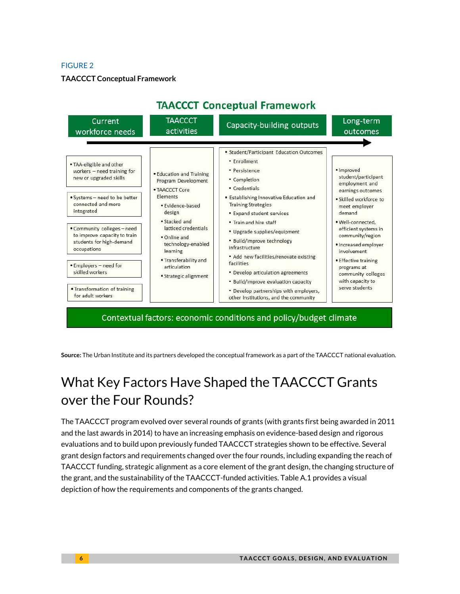### **TAACCCT Conceptual Framework**



**Source:** The Urban Institute and its partners developed the conceptual framework as a part of the TAACCCT national evaluation.

# What Key Factors Have Shaped the TAACCCT Grants over the Four Rounds?

The TAACCCT program evolved over several rounds of grants (with grants first being awarded in 2011 and the last awards in 2014) to have an increasing emphasis on evidence-based design and rigorous evaluations and to build upon previously funded TAACCCT strategies shown to be effective. Several grant design factors and requirements changed over the four rounds, including expanding the reach of TAACCCT funding, strategic alignment as a core element of the grant design, the changing structure of the grant, and the sustainability of the TAACCCT-funded activities. Table A.1 provides a visual depiction of how the requirements and components of the grants changed.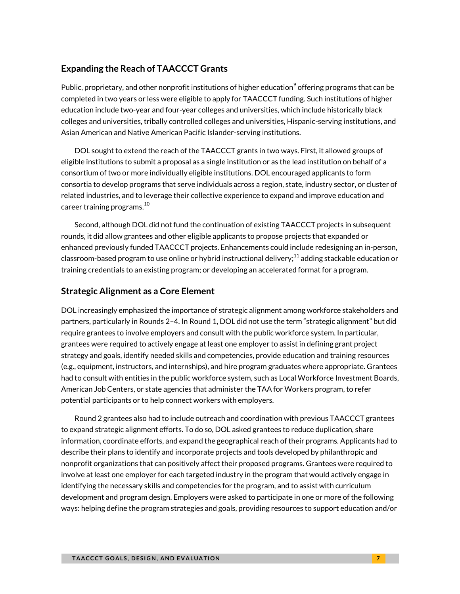# **Expanding the Reach of TAACCCT Grants**

Public, proprietary, and other nonprofit institutions of higher education $^9$  offering programs that can be completed in two years or less were eligible to apply for TAACCCT funding. Such institutions of higher education include two-year and four-year colleges and universities, which include historically black colleges and universities, tribally controlled colleges and universities, Hispanic-serving institutions, and Asian American and Native American Pacific Islander-serving institutions.

DOL sought to extend the reach of the TAACCCT grants in two ways. First, it allowed groups of eligible institutions to submit a proposal as a single institution or as the lead institution on behalf of a consortium of two or more individually eligible institutions. DOL encouraged applicants to form consortia to develop programs that serve individuals across a region, state, industry sector, or cluster of related industries, and to leverage their collective experience to expand and improve education and career training programs. $^{10}$ 

Second, although DOL did not fund the continuation of existing TAACCCT projects in subsequent rounds, it did allow grantees and other eligible applicants to propose projects that expanded or enhanced previously funded TAACCCT projects. Enhancements could include redesigning an in-person, classroom-based program to use online or hybrid instructional delivery; $^{11}$  adding stackable education or training credentials to an existing program; or developing an accelerated format for a program.

# **Strategic Alignment as a Core Element**

DOL increasingly emphasized the importance of strategic alignment among workforce stakeholders and partners, particularly in Rounds 2–4. In Round 1, DOL did not use the term "strategic alignment" but did require grantees to involve employers and consult with the public workforce system. In particular, grantees were required to actively engage at least one employer to assist in defining grant project strategy and goals, identify needed skills and competencies, provide education and training resources (e.g., equipment, instructors, and internships), and hire program graduates where appropriate. Grantees had to consult with entities in the public workforce system, such as Local Workforce Investment Boards, American Job Centers, or state agencies that administer the TAA for Workers program, to refer potential participants or to help connect workers with employers.

Round 2 grantees also had to include outreach and coordination with previous TAACCCT grantees to expand strategic alignment efforts. To do so, DOL asked grantees to reduce duplication, share information, coordinate efforts, and expand the geographical reach of their programs. Applicants had to describe their plans to identify and incorporate projects and tools developed by philanthropic and nonprofit organizations that can positively affect their proposed programs. Grantees were required to involve at least one employer for each targeted industry in the program that would actively engage in identifying the necessary skills and competencies for the program, and to assist with curriculum development and program design. Employers were asked to participate in one or more of the following ways: helping define the program strategies and goals, providing resources to support education and/or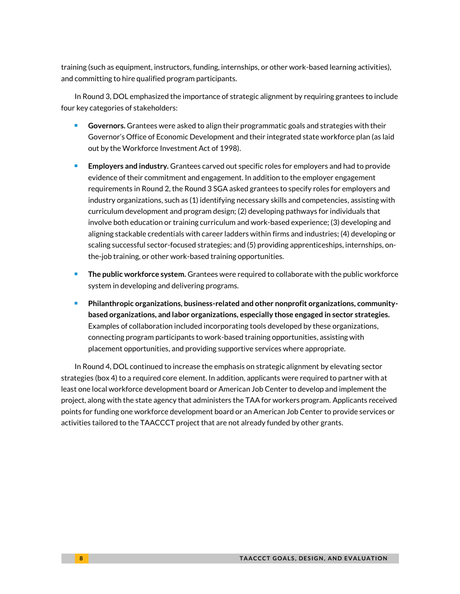training (such as equipment, instructors, funding, internships, or other work-based learning activities), and committing to hire qualified program participants.

In Round 3, DOL emphasized the importance of strategic alignment by requiring grantees to include four key categories of stakeholders:

- **Governors.** Grantees were asked to align their programmatic goals and strategies with their Governor's Office of Economic Development and their integrated state workforce plan (as laid out by the Workforce Investment Act of 1998).
- **Employers and industry.** Grantees carved out specific roles for employers and had to provide evidence of their commitment and engagement. In addition to the employer engagement requirements in Round 2, the Round 3 SGA asked grantees to specify roles for employers and industry organizations, such as (1) identifying necessary skills and competencies, assisting with curriculum development and program design; (2) developing pathways for individuals that involve both education or training curriculum and work-based experience; (3) developing and aligning stackable credentials with career ladders within firms and industries; (4) developing or scaling successful sector-focused strategies; and (5) providing apprenticeships, internships, onthe-job training, or other work-based training opportunities.
- **The public workforce system.** Grantees were required to collaborate with the public workforce system in developing and delivering programs.
- **Philanthropic organizations, business-related and other nonprofit organizations, communitybased organizations, and labor organizations, especially those engaged in sector strategies.** Examples of collaboration included incorporating tools developed by these organizations, connecting program participants to work-based training opportunities, assisting with placement opportunities, and providing supportive services where appropriate.

In Round 4, DOL continued to increase the emphasis on strategic alignment by elevating sector strategies (box 4) to a required core element. In addition, applicants were required to partner with at least one local workforce development board or American Job Center to develop and implement the project, along with the state agency that administers the TAA for workers program. Applicants received points for funding one workforce development board or an American Job Center to provide services or activities tailored to the TAACCCT project that are not already funded by other grants.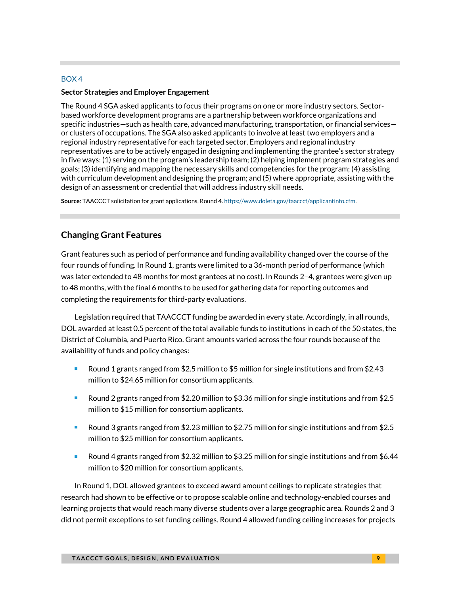# BOX 4

### **Sector Strategies and Employer Engagement**

The Round 4 SGA asked applicants to focus their programs on one or more industry sectors. Sectorbased workforce development programs are a partnership between workforce organizations and specific industries—such as health care, advanced manufacturing, transportation, or financial services or clusters of occupations. The SGA also asked applicants to involve at least two employers and a regional industry representative for each targeted sector. Employers and regional industry representatives are to be actively engaged in designing and implementing the grantee's sector strategy in five ways: (1) serving on the program's leadership team; (2) helping implement program strategies and goals; (3) identifying and mapping the necessary skills and competencies for the program; (4) assisting with curriculum development and designing the program; and (5) where appropriate, assisting with the design of an assessment or credential that will address industry skill needs.

**Source**: TAACCCT solicitation for grant applications, Round 4[. https://www.doleta.gov/taaccct/applicantinfo.cfm.](https://www.doleta.gov/taaccct/applicantinfo.cfm) 

# **Changing Grant Features**

Grant features such as period of performance and funding availability changed over the course of the four rounds of funding. In Round 1, grants were limited to a 36-month period of performance (which was later extended to 48 months for most grantees at no cost). In Rounds 2-4, grantees were given up to 48 months, with the final 6 months to be used for gathering data for reporting outcomes and completing the requirements for third-party evaluations.

Legislation required that TAACCCT funding be awarded in every state. Accordingly, in all rounds, DOL awarded at least 0.5 percent of the total available funds to institutions in each of the 50 states, the District of Columbia, and Puerto Rico. Grant amounts varied across the four rounds because of the availability of funds and policy changes:

- **Round 1 grants ranged from \$2.5 million to \$5 million for single institutions and from \$2.43** million to \$24.65 million for consortium applicants.
- Round 2 grants ranged from \$2.20 million to \$3.36 million for single institutions and from \$2.5 million to \$15 million for consortium applicants.
- Round 3 grants ranged from \$2.23 million to \$2.75 million for single institutions and from \$2.5 million to \$25 million for consortium applicants.
- Round 4 grants ranged from \$2.32 million to \$3.25 million for single institutions and from \$6.44 million to \$20 million for consortium applicants.

In Round 1, DOL allowed grantees to exceed award amount ceilings to replicate strategies that research had shown to be effective or to propose scalable online and technology-enabled courses and learning projects that would reach many diverse students over a large geographic area. Rounds 2 and 3 did not permit exceptions to set funding ceilings. Round 4 allowed funding ceiling increases for projects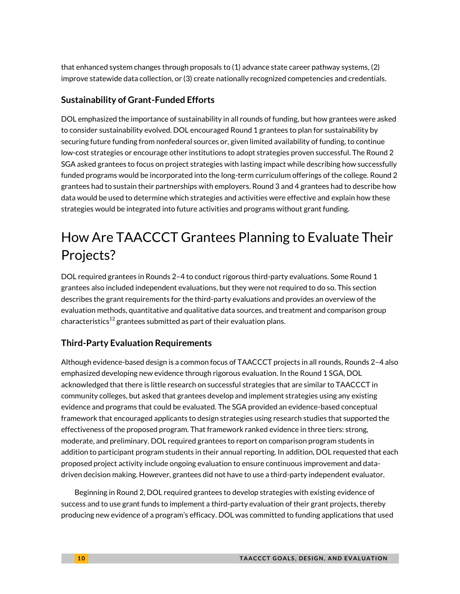that enhanced system changes through proposals to (1) advance state career pathway systems, (2) improve statewide data collection, or (3) create nationally recognized competencies and credentials.

# **Sustainability of Grant-Funded Efforts**

DOL emphasized the importance of sustainability in all rounds of funding, but how grantees were asked to consider sustainability evolved. DOL encouraged Round 1 grantees to plan for sustainability by securing future funding from nonfederal sources or, given limited availability of funding, to continue low-cost strategies or encourage other institutions to adopt strategies proven successful. The Round 2 SGA asked grantees to focus on project strategies with lasting impact while describing how successfully funded programs would be incorporated into the long-term curriculum offerings of the college. Round 2 grantees had to sustain their partnerships with employers. Round 3 and 4 grantees had to describe how data would be used to determine which strategies and activities were effective and explain how these strategies would be integrated into future activities and programs without grant funding.

# How Are TAACCCT Grantees Planning to Evaluate Their Projects?

DOL required grantees in Rounds 2–4 to conduct rigorous third-party evaluations. Some Round 1 grantees also included independent evaluations, but they were not required to do so. This section describes the grant requirements for the third-party evaluations and provides an overview of the evaluation methods, quantitative and qualitative data sources, and treatment and comparison group characteristics $^{12}$  grantees submitted as part of their evaluation plans.

# **Third-Party Evaluation Requirements**

Although evidence-based design is a common focus of TAACCCT projects in all rounds, Rounds 2–4 also emphasized developing new evidence through rigorous evaluation. In the Round 1 SGA, DOL acknowledged that there is little research on successful strategies that are similar to TAACCCT in community colleges, but asked that grantees develop and implement strategies using any existing evidence and programs that could be evaluated. The SGA provided an evidence-based conceptual framework that encouraged applicants to design strategies using research studies that supported the effectiveness of the proposed program. That framework ranked evidence in three tiers: strong, moderate, and preliminary. DOL required grantees to report on comparison program students in addition to participant program students in their annual reporting. In addition, DOL requested that each proposed project activity include ongoing evaluation to ensure continuous improvement and datadriven decision making. However, grantees did not have to use a third-party independent evaluator.

Beginning in Round 2, DOL required grantees to develop strategies with existing evidence of success and to use grant funds to implement a third-party evaluation of their grant projects, thereby producing new evidence of a program's efficacy. DOL was committed to funding applications that used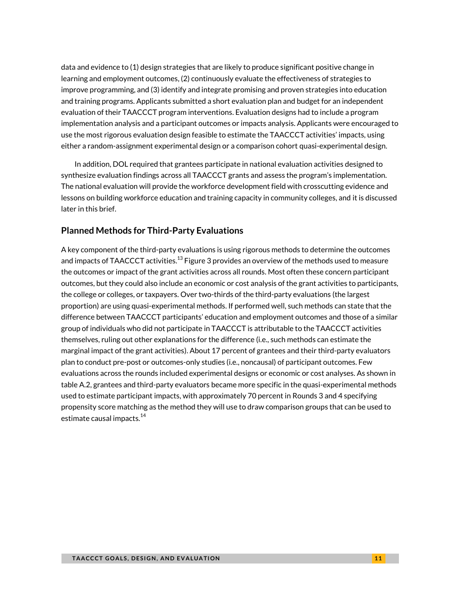data and evidence to (1) design strategies that are likely to produce significant positive change in learning and employment outcomes, (2) continuously evaluate the effectiveness of strategies to improve programming, and (3) identify and integrate promising and proven strategies into education and training programs. Applicants submitted a short evaluation plan and budget for an independent evaluation of their TAACCCT program interventions. Evaluation designs had to include a program implementation analysis and a participant outcomes or impacts analysis. Applicants were encouraged to use the most rigorous evaluation design feasible to estimate the TAACCCT activities' impacts, using either a random-assignment experimental design or a comparison cohort quasi-experimental design.

In addition, DOL required that grantees participate in national evaluation activities designed to synthesize evaluation findings across all TAACCCT grants and assess the program's implementation. The national evaluation will provide the workforce development field with crosscutting evidence and lessons on building workforce education and training capacity in community colleges, and it is discussed later in this brief.

# **Planned Methods for Third-Party Evaluations**

A key component of the third-party evaluations is using rigorous methods to determine the outcomes and impacts of TAACCCT activities. $^{\rm 13}$  Figure 3 provides an overview of the methods used to measure the outcomes or impact of the grant activities across all rounds. Most often these concern participant outcomes, but they could also include an economic or cost analysis of the grant activities to participants, the college or colleges, or taxpayers. Over two-thirds of the third-party evaluations (the largest proportion) are using quasi-experimental methods. If performed well, such methods can state that the difference between TAACCCT participants' education and employment outcomes and those of a similar group of individuals who did not participate in TAACCCT is attributable to the TAACCCT activities themselves, ruling out other explanations for the difference (i.e., such methods can estimate the marginal impact of the grant activities). About 17 percent of grantees and their third-party evaluators plan to conduct pre-post or outcomes-only studies (i.e., noncausal) of participant outcomes. Few evaluations across the rounds included experimental designs or economic or cost analyses. As shown in table A.2, grantees and third-party evaluators became more specific in the quasi-experimental methods used to estimate participant impacts, with approximately 70 percent in Rounds 3 and 4 specifying propensity score matching as the method they will use to draw comparison groups that can be used to estimate causal impacts.<sup>14</sup>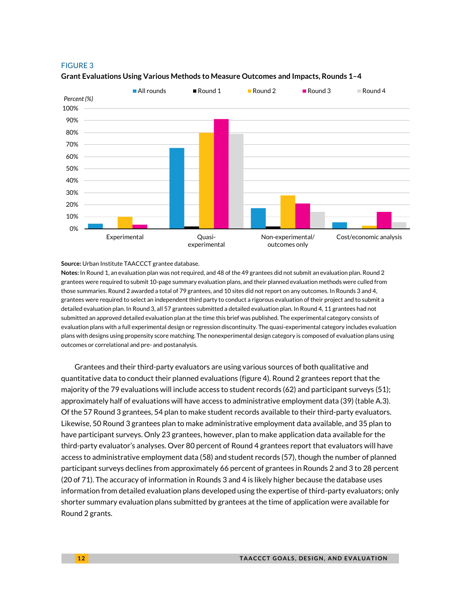

#### **Grant Evaluations Using Various Methods to Measure Outcomes and Impacts, Rounds 1–4**

**Source:** Urban Institute TAACCCT grantee database.

**Notes:** In Round 1, an evaluation plan was not required, and 48 of the 49 grantees did not submit an evaluation plan. Round 2 grantees were required to submit 10-page summary evaluation plans, and their planned evaluation methods were culled from those summaries. Round 2 awarded a total of 79 grantees, and 10 sites did not report on any outcomes. In Rounds 3 and 4, grantees were required to select an independent third party to conduct a rigorous evaluation of their project and to submit a detailed evaluation plan. In Round 3, all 57 grantees submitted a detailed evaluation plan. In Round 4, 11 grantees had not submitted an approved detailed evaluation plan at the time this brief was published. The experimental category consists of evaluation plans with a full experimental design or regression discontinuity. The quasi-experimental category includes evaluation plans with designs using propensity score matching. The nonexperimental design category is composed of evaluation plans using outcomes or correlational and pre- and postanalysis.

Grantees and their third-party evaluators are using various sources of both qualitative and quantitative data to conduct their planned evaluations (figure 4). Round 2 grantees report that the majority of the 79 evaluations will include access to student records (62) and participant surveys (51); approximately half of evaluations will have access to administrative employment data (39) (table A.3). Of the 57 Round 3 grantees, 54 plan to make student records available to their third-party evaluators. Likewise, 50 Round 3 grantees plan to make administrative employment data available, and 35 plan to have participant surveys. Only 23 grantees, however, plan to make application data available for the third-party evaluator's analyses. Over 80 percent of Round 4 grantees report that evaluators will have access to administrative employment data (58) and student records (57), though the number of planned participant surveys declines from approximately 66 percent of grantees in Rounds 2 and 3 to 28 percent (20 of 71). The accuracy of information in Rounds 3 and 4 is likely higher because the database uses information from detailed evaluation plans developed using the expertise of third-party evaluators; only shorter summary evaluation plans submitted by grantees at the time of application were available for Round 2 grants.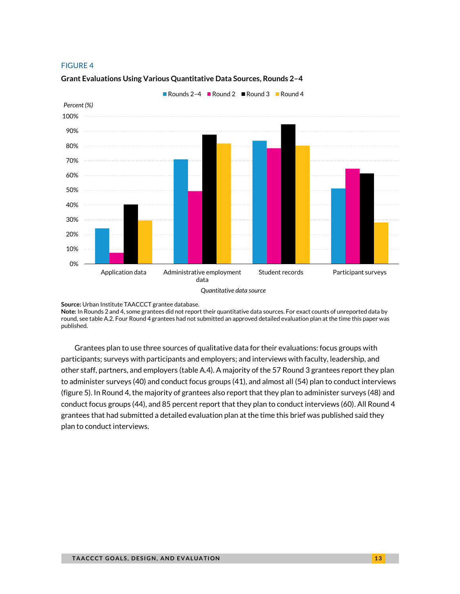

### **Grant Evaluations Using Various Quantitative Data Sources, Rounds 2–4**

**Source:** Urban Institute TAACCCT grantee database.

**Note:** In Rounds 2 and 4, some grantees did not report their quantitative data sources. For exact counts of unreported data by round, see table A.2. Four Round 4 grantees had not submitted an approved detailed evaluation plan at the time this paper was published.

Grantees plan to use three sources of qualitative data for their evaluations: focus groups with participants; surveys with participants and employers; and interviews with faculty, leadership, and other staff, partners, and employers (table A.4). A majority of the 57 Round 3 grantees report they plan to administer surveys (40) and conduct focus groups (41), and almost all (54) plan to conduct interviews (figure 5). In Round 4, the majority of grantees also report that they plan to administer surveys (48) and conduct focus groups (44), and 85 percent report that they plan to conduct interviews (60). All Round 4 grantees that had submitted a detailed evaluation plan at the time this brief was published said they plan to conduct interviews.

*Quantitative data source*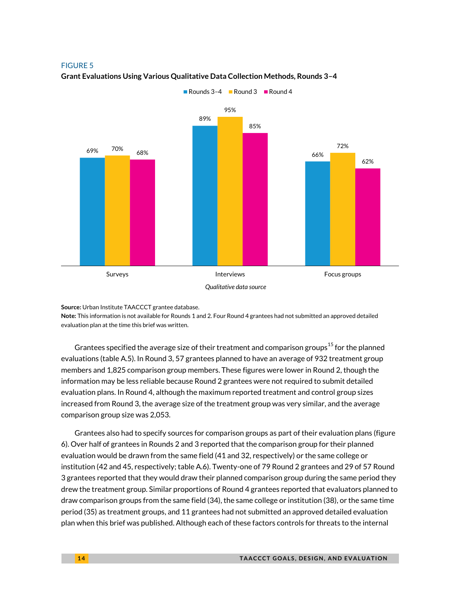

**Grant Evaluations Using Various Qualitative Data Collection Methods, Rounds 3–4**

**Source:** Urban Institute TAACCCT grantee database.

**Note:** This information is not available for Rounds 1 and 2. Four Round 4 grantees had not submitted an approved detailed evaluation plan at the time this brief was written.

Grantees specified the average size of their treatment and comparison groups<sup>15</sup> for the planned evaluations (table A.5). In Round 3, 57 grantees planned to have an average of 932 treatment group members and 1,825 comparison group members. These figures were lower in Round 2, though the information may be less reliable because Round 2 grantees were not required to submit detailed evaluation plans. In Round 4, although the maximum reported treatment and control group sizes increased from Round 3, the average size of the treatment group was very similar, and the average comparison group size was 2,053.

Grantees also had to specify sources for comparison groups as part of their evaluation plans (figure 6). Over half of grantees in Rounds 2 and 3 reported that the comparison group for their planned evaluation would be drawn from the same field (41 and 32, respectively) or the same college or institution (42 and 45, respectively; table A.6). Twenty-one of 79 Round 2 grantees and 29 of 57 Round 3 grantees reported that they would draw their planned comparison group during the same period they drew the treatment group. Similar proportions of Round 4 grantees reported that evaluators planned to draw comparison groups from the same field (34), the same college or institution (38), or the same time period (35) as treatment groups, and 11 grantees had not submitted an approved detailed evaluation plan when this brief was published. Although each of these factors controls for threats to the internal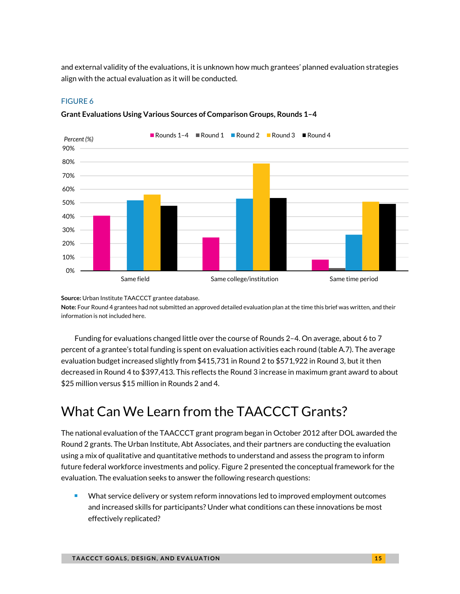and external validity of the evaluations, it is unknown how much grantees' planned evaluation strategies align with the actual evaluation as it will be conducted.

# FIGURE 6



**Grant Evaluations Using Various Sources of Comparison Groups, Rounds 1–4** 

**Source:** Urban Institute TAACCCT grantee database. **Note:** Four Round 4 grantees had not submitted an approved detailed evaluation plan at the time this brief was written, and their information is not included here.

Funding for evaluations changed little over the course of Rounds 2–4. On average, about 6 to 7 percent of a grantee's total funding is spent on evaluation activities each round (table A.7). The average evaluation budget increased slightly from \$415,731 in Round 2 to \$571,922 in Round 3, but it then decreased in Round 4 to \$397,413. This reflects the Round 3 increase in maximum grant award to about \$25 million versus \$15 million in Rounds 2 and 4.

# What Can We Learn from the TAACCCT Grants?

The national evaluation of the TAACCCT grant program began in October 2012 after DOL awarded the Round 2 grants. The Urban Institute, Abt Associates, and their partners are conducting the evaluation using a mix of qualitative and quantitative methods to understand and assess the program to inform future federal workforce investments and policy. Figure 2 presented the conceptual framework for the evaluation. The evaluation seeks to answer the following research questions:

**What service delivery or system reform innovations led to improved employment outcomes** and increased skills for participants? Under what conditions can these innovations be most effectively replicated?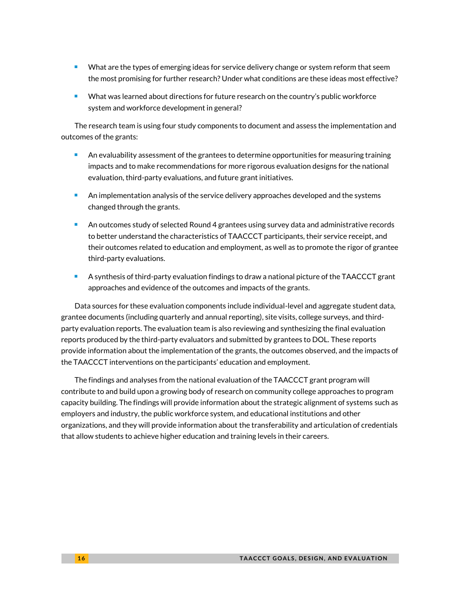- What are the types of emerging ideas for service delivery change or system reform that seem the most promising for further research? Under what conditions are these ideas most effective?
- **What was learned about directions for future research on the country's public workforce** system and workforce development in general?

The research team is using four study components to document and assess the implementation and outcomes of the grants:

- **An evaluability assessment of the grantees to determine opportunities for measuring training** impacts and to make recommendations for more rigorous evaluation designs for the national evaluation, third-party evaluations, and future grant initiatives.
- An implementation analysis of the service delivery approaches developed and the systems changed through the grants.
- An outcomes study of selected Round 4 grantees using survey data and administrative records to better understand the characteristics of TAACCCT participants, their service receipt, and their outcomes related to education and employment, as well as to promote the rigor of grantee third-party evaluations.
- A synthesis of third-party evaluation findings to draw a national picture of the TAACCCT grant approaches and evidence of the outcomes and impacts of the grants.

Data sources for these evaluation components include individual-level and aggregate student data, grantee documents (including quarterly and annual reporting), site visits, college surveys, and thirdparty evaluation reports. The evaluation team is also reviewing and synthesizing the final evaluation reports produced by the third-party evaluators and submitted by grantees to DOL. These reports provide information about the implementation of the grants, the outcomes observed, and the impacts of the TAACCCT interventions on the participants' education and employment.

The findings and analyses from the national evaluation of the TAACCCT grant program will contribute to and build upon a growing body of research on community college approaches to program capacity building. The findings will provide information about the strategic alignment of systems such as employers and industry, the public workforce system, and educational institutions and other organizations, and they will provide information about the transferability and articulation of credentials that allow students to achieve higher education and training levels in their careers.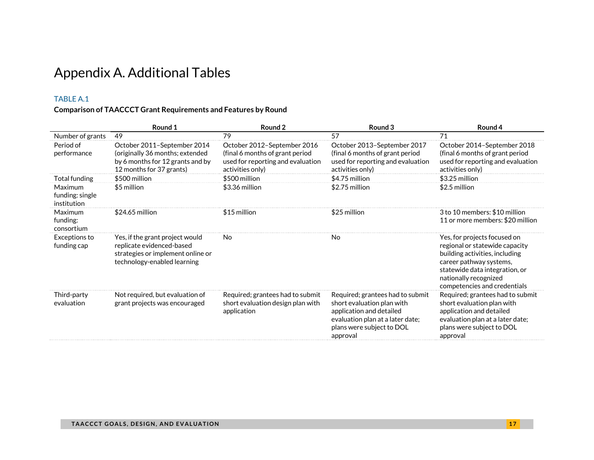# Appendix A. Additional Tables

# TABLE A.1

# **Comparison of TAACCCT Grant Requirements and Features by Round**

|                                           | Round 1                                                                                                                          | Round 2                                                                                                                 | Round 3                                                                                                                                                                 | Round 4                                                                                                                                                                                                                |
|-------------------------------------------|----------------------------------------------------------------------------------------------------------------------------------|-------------------------------------------------------------------------------------------------------------------------|-------------------------------------------------------------------------------------------------------------------------------------------------------------------------|------------------------------------------------------------------------------------------------------------------------------------------------------------------------------------------------------------------------|
| Number of grants                          | 49                                                                                                                               | 79                                                                                                                      | 57                                                                                                                                                                      | 71                                                                                                                                                                                                                     |
| Period of<br>performance                  | October 2011-September 2014<br>(originally 36 months; extended<br>by 6 months for 12 grants and by<br>12 months for 37 grants)   | October 2012-September 2016<br>(final 6 months of grant period<br>used for reporting and evaluation<br>activities only) | October 2013-September 2017<br>(final 6 months of grant period<br>used for reporting and evaluation<br>activities only)                                                 | October 2014-September 2018<br>(final 6 months of grant period<br>used for reporting and evaluation<br>activities only)                                                                                                |
| Total funding                             | \$500 million                                                                                                                    | \$500 million                                                                                                           | \$4.75 million                                                                                                                                                          | \$3.25 million                                                                                                                                                                                                         |
| Maximum<br>funding: single<br>institution | \$5 million                                                                                                                      | \$3.36 million                                                                                                          | \$2.75 million                                                                                                                                                          | \$2.5 million                                                                                                                                                                                                          |
| Maximum<br>funding:<br>consortium         | $$24.65$ million                                                                                                                 | \$15 million                                                                                                            | \$25 million                                                                                                                                                            | 3 to 10 members: \$10 million<br>11 or more members: \$20 million                                                                                                                                                      |
| Exceptions to<br>funding cap              | Yes, if the grant project would<br>replicate evidenced-based<br>strategies or implement online or<br>technology-enabled learning | No                                                                                                                      | No                                                                                                                                                                      | Yes, for projects focused on<br>regional or statewide capacity<br>building activities, including<br>career pathway systems,<br>statewide data integration, or<br>nationally recognized<br>competencies and credentials |
| Third-party<br>evaluation                 | Not required, but evaluation of<br>grant projects was encouraged                                                                 | Required; grantees had to submit<br>short evaluation design plan with<br>application                                    | Required; grantees had to submit<br>short evaluation plan with<br>application and detailed<br>evaluation plan at a later date;<br>plans were subject to DOL<br>approval | Required; grantees had to submit<br>short evaluation plan with<br>application and detailed<br>evaluation plan at a later date;<br>plans were subject to DOL<br>approval                                                |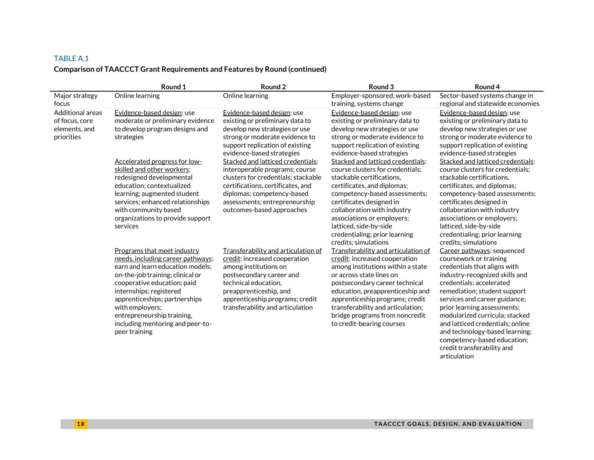# TABLE A.1 **Comparison of TAACCCT Grant Requirements and Features by Round (continued)**

|                                                                   | Round 1                                                                                                                                                                                                                                                                                                                                          | Round 2                                                                                                                                                                                                                                            | Round 3                                                                                                                                                                                                                                                                                                                                            | Round 4                                                                                                                                                                                                                                                                                                                                                                                                                 |
|-------------------------------------------------------------------|--------------------------------------------------------------------------------------------------------------------------------------------------------------------------------------------------------------------------------------------------------------------------------------------------------------------------------------------------|----------------------------------------------------------------------------------------------------------------------------------------------------------------------------------------------------------------------------------------------------|----------------------------------------------------------------------------------------------------------------------------------------------------------------------------------------------------------------------------------------------------------------------------------------------------------------------------------------------------|-------------------------------------------------------------------------------------------------------------------------------------------------------------------------------------------------------------------------------------------------------------------------------------------------------------------------------------------------------------------------------------------------------------------------|
| Major strategy<br>focus                                           | Online learning                                                                                                                                                                                                                                                                                                                                  | Online learning                                                                                                                                                                                                                                    | Employer-sponsored, work-based<br>training, systems change                                                                                                                                                                                                                                                                                         | Sector-based systems change in<br>regional and statewide economies                                                                                                                                                                                                                                                                                                                                                      |
| Additional areas<br>of focus, core<br>elements, and<br>priorities | Evidence-based design: use<br>moderate or preliminary evidence<br>to develop program designs and<br>strategies                                                                                                                                                                                                                                   | Evidence-based design: use<br>existing or preliminary data to<br>develop new strategies or use<br>strong or moderate evidence to<br>support replication of existing<br>evidence-based strategies                                                   | Evidence-based design: use<br>existing or preliminary data to<br>develop new strategies or use<br>strong or moderate evidence to<br>support replication of existing<br>evidence-based strategies                                                                                                                                                   | Evidence-based design: use<br>existing or preliminary data to<br>develop new strategies or use<br>strong or moderate evidence to<br>support replication of existing<br>evidence-based strategies                                                                                                                                                                                                                        |
|                                                                   | Accelerated progress for low-<br>skilled and other workers:<br>redesigned developmental<br>education; contextualized<br>learning; augmented student<br>services; enhanced relationships<br>with community based<br>organizations to provide support<br>services                                                                                  | Stacked and latticed credentials:<br>interoperable programs; course<br>clusters for credentials; stackable<br>certifications, certificates, and<br>diplomas; competency-based<br>assessments; entrepreneurship<br>outcomes-based approaches        | Stacked and latticed credentials:<br>course clusters for credentials;<br>stackable certifications.<br>certificates, and diplomas;<br>competency-based assessments;<br>certificates designed in<br>collaboration with industry<br>associations or employers;<br>latticed, side-by-side<br>credentialing; prior learning<br>credits: simulations     | Stacked and latticed credentials:<br>course clusters for credentials;<br>stackable certifications,<br>certificates, and diplomas;<br>competency-based assessments;<br>certificates designed in<br>collaboration with industry<br>associations or employers;<br>latticed, side-by-side<br>credentialing; prior learning<br>credits; simulations                                                                          |
|                                                                   | <b>Programs that meet industry</b><br>needs, including career pathways:<br>earn and learn education models;<br>on-the-job training; clinical or<br>cooperative education; paid<br>internships; registered<br>apprenticeships; partnerships<br>with employers;<br>entrepreneurship training,<br>including mentoring and peer-to-<br>peer training | Transferability and articulation of<br>credit: increased cooperation<br>among institutions on<br>postsecondary career and<br>technical education.<br>preapprenticeship, and<br>apprenticeship programs; credit<br>transferability and articulation | Transferability and articulation of<br>credit: increased cooperation<br>among institutions within a state<br>or across state lines on<br>postsecondary career technical<br>education, preapprenticeship and<br>apprenticeship programs; credit<br>transferability and articulation;<br>bridge programs from noncredit<br>to credit-bearing courses | Career pathways: sequenced<br>coursework or training<br>credentials that aligns with<br>industry-recognized skills and<br>credentials; accelerated<br>remediation; student support<br>services and career guidance;<br>prior learning assessments;<br>modularized curricula; stacked<br>and latticed credentials; online<br>and technology-based learning;<br>competency-based education;<br>credit transferability and |

articulation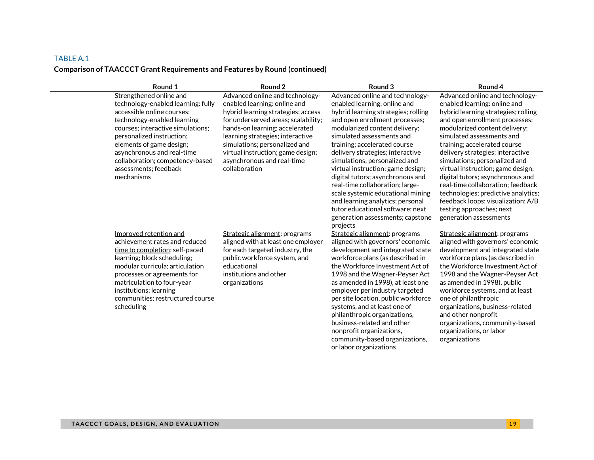# **Comparison of TAACCCT Grant Requirements and Features by Round (continued)**

| Round 1                                                                                                                                                                                                                                                                                              | Round 2                                                                                                                                                                                                                        | Round 3                                                                                                                                                                                                                                                                                                                                                                                                                                                                                                            | Round 4                                                                                                                                                                                                                                                                                                                                                                                                                                            |
|------------------------------------------------------------------------------------------------------------------------------------------------------------------------------------------------------------------------------------------------------------------------------------------------------|--------------------------------------------------------------------------------------------------------------------------------------------------------------------------------------------------------------------------------|--------------------------------------------------------------------------------------------------------------------------------------------------------------------------------------------------------------------------------------------------------------------------------------------------------------------------------------------------------------------------------------------------------------------------------------------------------------------------------------------------------------------|----------------------------------------------------------------------------------------------------------------------------------------------------------------------------------------------------------------------------------------------------------------------------------------------------------------------------------------------------------------------------------------------------------------------------------------------------|
| Strengthened online and                                                                                                                                                                                                                                                                              | Advanced online and technology-                                                                                                                                                                                                | Advanced online and technology-                                                                                                                                                                                                                                                                                                                                                                                                                                                                                    | Advanced online and technology-                                                                                                                                                                                                                                                                                                                                                                                                                    |
| technology-enabled learning: fully<br>accessible online courses:                                                                                                                                                                                                                                     | enabled learning: online and<br>hybrid learning strategies; access                                                                                                                                                             | enabled learning: online and<br>hybrid learning strategies; rolling                                                                                                                                                                                                                                                                                                                                                                                                                                                | enabled learning: online and<br>hybrid learning strategies; rolling                                                                                                                                                                                                                                                                                                                                                                                |
| technology-enabled learning<br>courses; interactive simulations;<br>personalized instruction;<br>elements of game design;<br>asynchronous and real-time<br>collaboration; competency-based<br>assessments; feedback<br>mechanisms                                                                    | for underserved areas; scalability;<br>hands-on learning; accelerated<br>learning strategies; interactive<br>simulations; personalized and<br>virtual instruction; game design;<br>asynchronous and real-time<br>collaboration | and open enrollment processes;<br>modularized content delivery;<br>simulated assessments and<br>training; accelerated course<br>delivery strategies; interactive<br>simulations; personalized and<br>virtual instruction; game design;<br>digital tutors; asynchronous and<br>real-time collaboration; large-<br>scale systemic educational mining<br>and learning analytics; personal<br>tutor educational software: next<br>generation assessments; capstone<br>projects                                         | and open enrollment processes;<br>modularized content delivery;<br>simulated assessments and<br>training; accelerated course<br>delivery strategies; interactive<br>simulations; personalized and<br>virtual instruction; game design;<br>digital tutors; asynchronous and<br>real-time collaboration; feedback<br>technologies; predictive analytics;<br>feedback loops; visualization; A/B<br>testing approaches; next<br>generation assessments |
| Improved retention and<br>achievement rates and reduced<br>time to completion: self-paced<br>learning; block scheduling;<br>modular curricula; articulation<br>processes or agreements for<br>matriculation to four-year<br>institutions; learning<br>communities; restructured course<br>scheduling | Strategic alignment: programs<br>aligned with at least one employer<br>for each targeted industry, the<br>public workforce system, and<br>educational<br>institutions and other<br>organizations                               | Strategic alignment: programs<br>aligned with governors' economic<br>development and integrated state<br>workforce plans (as described in<br>the Workforce Investment Act of<br>1998 and the Wagner-Peyser Act<br>as amended in 1998), at least one<br>employer per industry targeted<br>per site location, public workforce<br>systems, and at least one of<br>philanthropic organizations,<br>business-related and other<br>nonprofit organizations,<br>community-based organizations,<br>or labor organizations | Strategic alignment: programs<br>aligned with governors' economic<br>development and integrated state<br>workforce plans (as described in<br>the Workforce Investment Act of<br>1998 and the Wagner-Peyser Act<br>as amended in 1998), public<br>workforce systems, and at least<br>one of philanthropic<br>organizations, business-related<br>and other nonprofit<br>organizations, community-based<br>organizations, or labor<br>organizations   |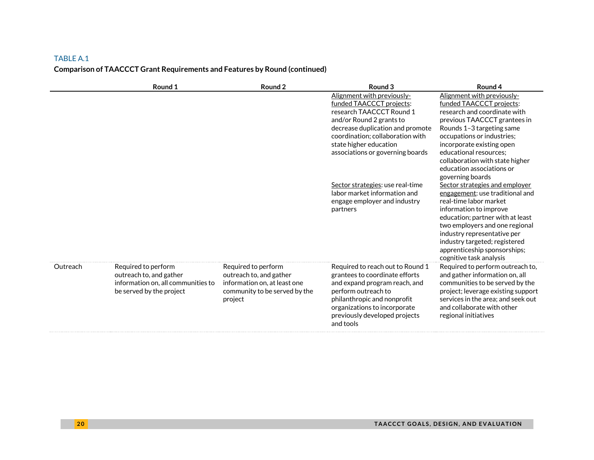# TABLE A.1 **Comparison of TAACCCT Grant Requirements and Features by Round (continued)**

|          | Round 1                                                                                                          | Round 2                                                                                                                    | Round <sub>3</sub>                                                                                                                                                                                                                                   | Round 4                                                                                                                                                                                                                                                                                                                      |
|----------|------------------------------------------------------------------------------------------------------------------|----------------------------------------------------------------------------------------------------------------------------|------------------------------------------------------------------------------------------------------------------------------------------------------------------------------------------------------------------------------------------------------|------------------------------------------------------------------------------------------------------------------------------------------------------------------------------------------------------------------------------------------------------------------------------------------------------------------------------|
|          |                                                                                                                  |                                                                                                                            | Alignment with previously-<br>funded TAACCCT projects:<br>research TAACCCT Round 1<br>and/or Round 2 grants to<br>decrease duplication and promote<br>coordination; collaboration with<br>state higher education<br>associations or governing boards | Alignment with previously-<br>funded TAACCCT projects:<br>research and coordinate with<br>previous TAACCCT grantees in<br>Rounds 1-3 targeting same<br>occupations or industries;<br>incorporate existing open<br>educational resources:<br>collaboration with state higher<br>education associations or<br>governing boards |
|          |                                                                                                                  |                                                                                                                            | Sector strategies: use real-time<br>labor market information and<br>engage employer and industry<br>partners                                                                                                                                         | Sector strategies and emplover<br>engagement: use traditional and<br>real-time labor market<br>information to improve<br>education; partner with at least<br>two employers and one regional<br>industry representative per<br>industry targeted; registered<br>apprenticeship sponsorships;<br>cognitive task analysis       |
| Outreach | Required to perform<br>outreach to, and gather<br>information on, all communities to<br>be served by the project | Required to perform<br>outreach to, and gather<br>information on, at least one<br>community to be served by the<br>project | Required to reach out to Round 1<br>grantees to coordinate efforts<br>and expand program reach, and<br>perform outreach to<br>philanthropic and nonprofit<br>organizations to incorporate<br>previously developed projects<br>and tools              | Required to perform outreach to,<br>and gather information on, all<br>communities to be served by the<br>project; leverage existing support<br>services in the area; and seek out<br>and collaborate with other<br>regional initiatives                                                                                      |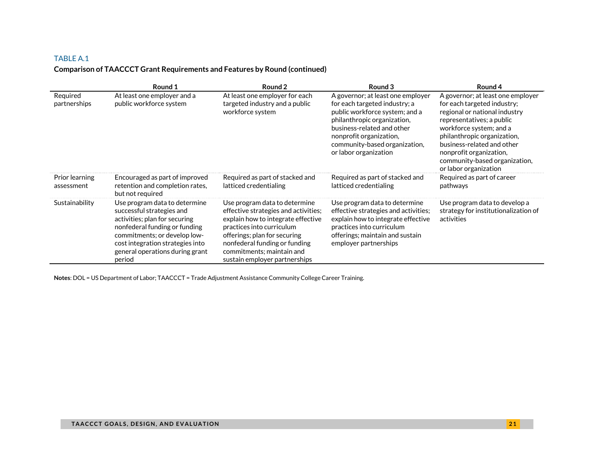# **Comparison of TAACCCT Grant Requirements and Features by Round (continued)**

|                              | Round 1                                                                                                                                                                                                                                       | Round 2                                                                                                                                                                                                                                                                 | Round 3                                                                                                                                                                                                                                                | Round 4                                                                                                                                                                                                                                                                                                     |
|------------------------------|-----------------------------------------------------------------------------------------------------------------------------------------------------------------------------------------------------------------------------------------------|-------------------------------------------------------------------------------------------------------------------------------------------------------------------------------------------------------------------------------------------------------------------------|--------------------------------------------------------------------------------------------------------------------------------------------------------------------------------------------------------------------------------------------------------|-------------------------------------------------------------------------------------------------------------------------------------------------------------------------------------------------------------------------------------------------------------------------------------------------------------|
| Required<br>partnerships     | At least one employer and a<br>public workforce system                                                                                                                                                                                        | At least one employer for each<br>targeted industry and a public<br>workforce system                                                                                                                                                                                    | A governor; at least one employer<br>for each targeted industry; a<br>public workforce system; and a<br>philanthropic organization,<br>business-related and other<br>nonprofit organization,<br>community-based organization,<br>or labor organization | A governor; at least one employer<br>for each targeted industry;<br>regional or national industry<br>representatives; a public<br>workforce system; and a<br>philanthropic organization,<br>business-related and other<br>nonprofit organization,<br>community-based organization,<br>or labor organization |
| Prior learning<br>assessment | Encouraged as part of improved<br>retention and completion rates,<br>but not required                                                                                                                                                         | Required as part of stacked and<br>latticed credentialing                                                                                                                                                                                                               | Required as part of stacked and<br>latticed credentialing                                                                                                                                                                                              | Required as part of career<br>pathways                                                                                                                                                                                                                                                                      |
| Sustainability               | Use program data to determine<br>successful strategies and<br>activities; plan for securing<br>nonfederal funding or funding<br>commitments; or develop low-<br>cost integration strategies into<br>general operations during grant<br>period | Use program data to determine<br>effective strategies and activities;<br>explain how to integrate effective<br>practices into curriculum<br>offerings; plan for securing<br>nonfederal funding or funding<br>commitments; maintain and<br>sustain employer partnerships | Use program data to determine<br>effective strategies and activities;<br>explain how to integrate effective<br>practices into curriculum<br>offerings; maintain and sustain<br>employer partnerships                                                   | Use program data to develop a<br>strategy for institutionalization of<br>activities                                                                                                                                                                                                                         |

**Notes**: DOL = US Department of Labor; TAACCCT = Trade Adjustment Assistance Community College Career Training.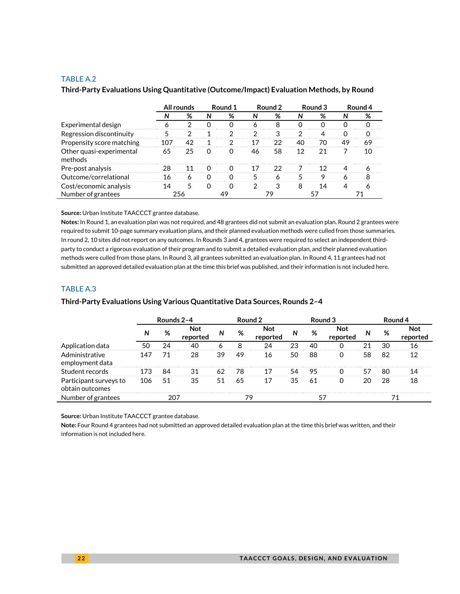|                                     | All rounds |     | Round 1  | Round 2  |    |    | Round 3 | Round 4 |    |    |
|-------------------------------------|------------|-----|----------|----------|----|----|---------|---------|----|----|
|                                     |            | %   | N        | %        | N  | %  | N       | %       | N  | %  |
| Experimental design                 |            |     |          |          |    | 8  |         |         |    |    |
| Regression discontinuity            |            |     |          | າ        | ာ  |    | っ       |         | O  | O  |
| Propensity score matching           | 107        | 42  |          | 2        | 17 | 22 | 40      | 70      | 49 | 69 |
| Other quasi-experimental<br>methods | 65         | 25  |          | $\Omega$ | 46 | 58 | 12      | 21      |    | 10 |
| Pre-post analysis                   | 28         | 11  | $\cap$   | ∩        | 17 | つつ |         | 12      | Λ  |    |
| Outcome/correlational               | 16         | 6   |          | O        | 5  | 6  |         | q       | 6  | я  |
| Cost/economic analysis              | 14         | 5   | $\Omega$ | 0        | 2  |    | 8       | 14      |    |    |
| Number of grantees                  |            | 256 |          |          |    |    |         |         |    |    |

#### **Third-Party Evaluations Using Quantitative (Outcome/Impact) Evaluation Methods, by Round**

#### **Source:** Urban Institute TAACCCT grantee database.

**Notes:** In Round 1, an evaluation plan was not required, and 48 grantees did not submit an evaluation plan. Round 2 grantees were required to submit 10-page summary evaluation plans, and their planned evaluation methods were culled from those summaries. In round 2, 10 sites did not report on any outcomes. In Rounds 3 and 4, grantees were required to select an independent thirdparty to conduct a rigorous evaluation of their program and to submit a detailed evaluation plan, and their planned evaluation methods were culled from those plans. In Round 3, all grantees submitted an evaluation plan. In Round 4, 11 grantees had not submitted an approved detailed evaluation plan at the time this brief was published, and their information is not included here.

### TABLE A.3

# **Third-Party Evaluations Using Various Quantitative Data Sources, Rounds 2–4**

|                                           | Rounds 2-4 |    |                 | Round 2 |    |                        |    | Round 3 |                 | Round 4 |    |              |
|-------------------------------------------|------------|----|-----------------|---------|----|------------------------|----|---------|-----------------|---------|----|--------------|
|                                           | Ν          | %  | Not<br>reported | N       | %  | <b>Not</b><br>reported | N  | %       | Not<br>reported | N       | %  | Not<br>repo. |
| Application data                          | 50         | 24 | 40              |         | 8  | 24                     |    | 40      |                 |         | 30 |              |
| Administrative<br>employment data         | 147        | 71 | 28              | 39      | 49 | 16                     | 50 | 88      |                 | 58      | 82 | 12           |
| Student records                           |            | 84 | 31              |         | 78 |                        |    | 95      |                 |         | 80 | 14           |
| Participant surveys to<br>obtain outcomes | 106        | 51 | 35              | 51      | 65 |                        | 35 | 61      |                 | 20      | 28 | 18           |
| Number of grantees                        |            |    |                 |         | 79 |                        |    |         |                 |         |    |              |

**Source:** Urban Institute TAACCCT grantee database.

**Note:** Four Round 4 grantees had not submitted an approved detailed evaluation plan at the time this brief was written, and their information is not included here.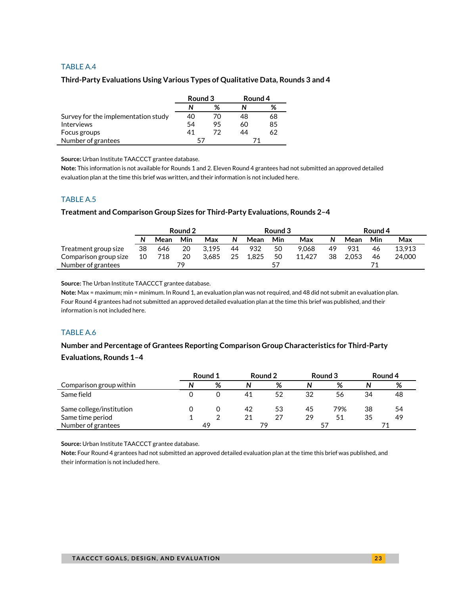#### **Third-Party Evaluations Using Various Types of Qualitative Data, Rounds 3 and 4**

|                                     | Round 3 |    | Round 4 |    |  |
|-------------------------------------|---------|----|---------|----|--|
|                                     |         | %  |         | %  |  |
| Survey for the implementation study | 40      | 70 | 48      | 68 |  |
| <b>Interviews</b>                   | 54      | 95 | 60      | 85 |  |
| Focus groups                        | 41      | 72 | 44      | 62 |  |
| Number of grantees                  | 57      |    |         |    |  |

**Source:** Urban Institute TAACCCT grantee database.

**Note:** This information is not available for Rounds 1 and 2. Eleven Round 4 grantees had not submitted an approved detailed evaluation plan at the time this brief was written, and their information is not included here.

### TABLE A.5

#### **Treatment and Comparison Group Sizes for Third-Party Evaluations, Rounds 2–4**

|                       | Round 2 |      |     |       |    | Round 3 |     |        |    | Round 4 |     |        |
|-----------------------|---------|------|-----|-------|----|---------|-----|--------|----|---------|-----|--------|
|                       | N       | Mean | Min | Max   | N  | Mean    | Min | Max    | N  | Mean    | Min | Max    |
| Treatment group size  | 38      | 646  | 20  | 3.195 | 44 | 932     | 50  | 9.068  | 49 | 931     | 46  | 13.913 |
| Comparison group size | 10      | 718  | 20  | 3.685 | 25 | 1.825   | 50  | 11.427 | 38 | 2.053   | 46  | 24,000 |
| Number of grantees    |         |      | 79  |       |    |         | 57  |        |    |         |     |        |

**Source:** The Urban Institute TAACCCT grantee database.

**Note:** Max = maximum; min = minimum. In Round 1, an evaluation plan was not required, and 48 did not submit an evaluation plan. Four Round 4 grantees had not submitted an approved detailed evaluation plan at the time this brief was published, and their information is not included here.

### TABLE A.6

# **Number and Percentage of Grantees Reporting Comparison Group Characteristics for Third-Party Evaluations, Rounds 1–4**

|                          | Round 1 |    | Round 2 |    | Round 3 |     | Round 4 |    |
|--------------------------|---------|----|---------|----|---------|-----|---------|----|
| Comparison group within  |         | %  | N       | %  | N       | %   |         | %  |
| Same field               |         |    | 41      | 52 | 32      | 56  | 34      | 48 |
| Same college/institution |         |    | 42      | 53 | 45      | 79% | 38      | 54 |
| Same time period         |         |    | 21      | 27 | 29      | 51  | 35      | 49 |
| Number of grantees       |         | 49 |         | 79 |         |     |         |    |

**Source:** Urban Institute TAACCCT grantee database.

**Note:** Four Round 4 grantees had not submitted an approved detailed evaluation plan at the time this brief was published, and their information is not included here.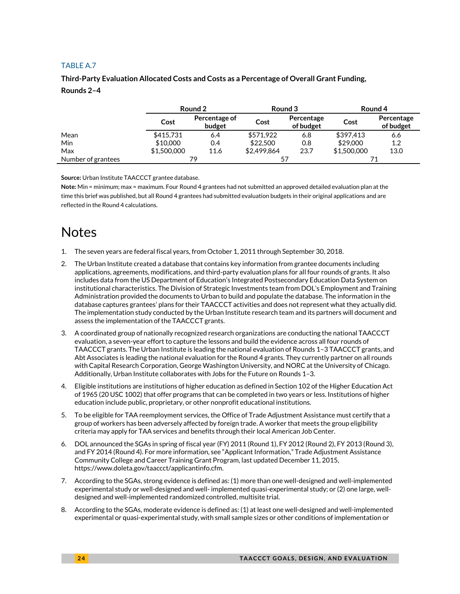# **Third-Party Evaluation Allocated Costs and Costs as a Percentage of Overall Grant Funding,**

# **Rounds 2–4**

|                    | Round 2     |                         | Round 3     |                         | Round 4     |                         |
|--------------------|-------------|-------------------------|-------------|-------------------------|-------------|-------------------------|
|                    | Cost        | Percentage of<br>budget | Cost        | Percentage<br>of budget | Cost        | Percentage<br>of budget |
| Mean               | \$415,731   | 6.4                     | \$571.922   | 6.8                     | \$397.413   | 6.6                     |
| <b>Min</b>         | \$10,000    | 0.4                     | \$22,500    | 0.8                     | \$29,000    | 1.2                     |
| Max                | \$1,500,000 | 11.6                    | \$2,499,864 | 23.7                    | \$1,500,000 | 13.0                    |
| Number of grantees | 79          |                         | 57          |                         |             |                         |

**Source:** Urban Institute TAACCCT grantee database.

**Note:** Min = minimum; max = maximum. Four Round 4 grantees had not submitted an approved detailed evaluation plan at the time this brief was published, but all Round 4 grantees had submitted evaluation budgets in their original applications and are reflected in the Round 4 calculations.

# Notes

- 1. The seven years are federal fiscal years, from October 1, 2011 through September 30, 2018.
- 2. The Urban Institute created a database that contains key information from grantee documents including applications, agreements, modifications, and third-party evaluation plans for all four rounds of grants. It also includes data from the US Department of Education's Integrated Postsecondary Education Data System on institutional characteristics. The Division of Strategic Investments team from DOL's Employment and Training Administration provided the documents to Urban to build and populate the database. The information in the database captures grantees' plans for their TAACCCT activities and does not represent what they actually did. The implementation study conducted by the Urban Institute research team and its partners will document and assess the implementation of the TAACCCT grants.
- 3. A coordinated group of nationally recognized research organizations are conducting the national TAACCCT evaluation, a seven-year effort to capture the lessons and build the evidence across all four rounds of TAACCCT grants. The Urban Institute is leading the national evaluation of Rounds 1–3 TAACCCT grants, and Abt Associates is leading the national evaluation for the Round 4 grants. They currently partner on all rounds with Capital Research Corporation, George Washington University, and NORC at the University of Chicago. Additionally, Urban Institute collaborates with Jobs for the Future on Rounds 1–3.
- 4. Eligible institutions are institutions of higher education as defined in Section 102 of the Higher Education Act of 1965 (20 USC 1002) that offer programs that can be completed in two years or less. Institutions of higher education include public, proprietary, or other nonprofit educational institutions.
- 5. To be eligible for TAA reemployment services, the Office of Trade Adjustment Assistance must certify that a group of workers has been adversely affected by foreign trade. A worker that meets the group eligibility criteria may apply for TAA services and benefits through their local American Job Center.
- 6. DOL announced the SGAs in spring of fiscal year (FY) 2011 (Round 1), FY 2012 (Round 2), FY 2013 (Round 3), and FY 2014 (Round 4). For more information, see "Applicant Information," Trade Adjustment Assistance Community College and Career Training Grant Program, last updated December 11, 2015, [https://www.doleta.gov/taaccct/applicantinfo.cfm.](https://www.doleta.gov/taaccct/applicantinfo.cfm)
- 7. According to the SGAs, strong evidence is defined as: (1) more than one well-designed and well-implemented experimental study or well-designed and well- implemented quasi-experimental study; or (2) one large, welldesigned and well-implemented randomized controlled, multisite trial.
- 8. According to the SGAs, moderate evidence is defined as: (1) at least one well-designed and well-implemented experimental or quasi-experimental study, with small sample sizes or other conditions of implementation or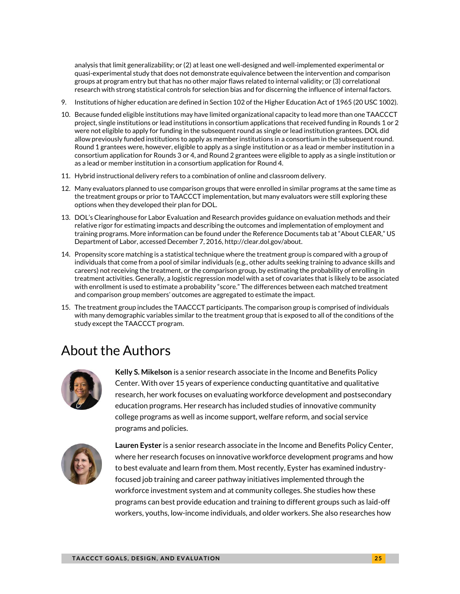analysis that limit generalizability; or (2) at least one well-designed and well-implemented experimental or quasi-experimental study that does not demonstrate equivalence between the intervention and comparison groups at program entry but that has no other major flaws related to internal validity; or (3) correlational research with strong statistical controls for selection bias and for discerning the influence of internal factors.

- 9. Institutions of higher education are defined in Section 102 of the Higher Education Act of 1965 (20 USC 1002).
- 10. Because funded eligible institutions may have limited organizational capacity to lead more than one TAACCCT project, single institutions or lead institutions in consortium applications that received funding in Rounds 1 or 2 were not eligible to apply for funding in the subsequent round as single or lead institution grantees. DOL did allow previously funded institutions to apply as member institutions in a consortium in the subsequent round. Round 1 grantees were, however, eligible to apply as a single institution or as a lead or member institution in a consortium application for Rounds 3 or 4, and Round 2 grantees were eligible to apply as a single institution or as a lead or member institution in a consortium application for Round 4.
- 11. Hybrid instructional delivery refers to a combination of online and classroom delivery.
- 12. Many evaluators planned to use comparison groups that were enrolled in similar programs at the same time as the treatment groups or prior to TAACCCT implementation, but many evaluators were still exploring these options when they developed their plan for DOL.
- 13. DOL's Clearinghouse for Labor Evaluation and Research provides guidance on evaluation methods and their relative rigor for estimating impacts and describing the outcomes and implementation of employment and training programs. More information can be found under the Reference Documents tab at "About CLEAR," US Department of Labor, accessed December 7, 2016[, http://clear.dol.gov/about.](http://clear.dol.gov/about)
- 14. Propensity score matching is a statistical technique where the treatment group is compared with a group of individuals that come from a pool of similar individuals (e.g., other adults seeking training to advance skills and careers) not receiving the treatment, or the comparison group, by estimating the probability of enrolling in treatment activities. Generally, a logistic regression model with a set of covariates that is likely to be associated with enrollment is used to estimate a probability "score." The differences between each matched treatment and comparison group members' outcomes are aggregated to estimate the impact.
- 15. The treatment group includes the TAACCCT participants. The comparison group is comprised of individuals with many demographic variables similar to the treatment group that is exposed to all of the conditions of the study except the TAACCCT program.

# About the Authors



**Kelly S. Mikelson** is a senior research associate in the Income and Benefits Policy Center. With over 15 years of experience conducting quantitative and qualitative research, her work focuses on evaluating workforce development and postsecondary education programs. Her research has included studies of innovative community college programs as well as income support, welfare reform, and social service programs and policies.



**Lauren Eyster** is a senior research associate in the Income and Benefits Policy Center, where her research focuses on innovative workforce development programs and how to best evaluate and learn from them. Most recently, Eyster has examined industryfocused job training and career pathway initiatives implemented through the workforce investment system and at community colleges. She studies how these programs can best provide education and training to different groups such as laid-off workers, youths, low-income individuals, and older workers. She also researches how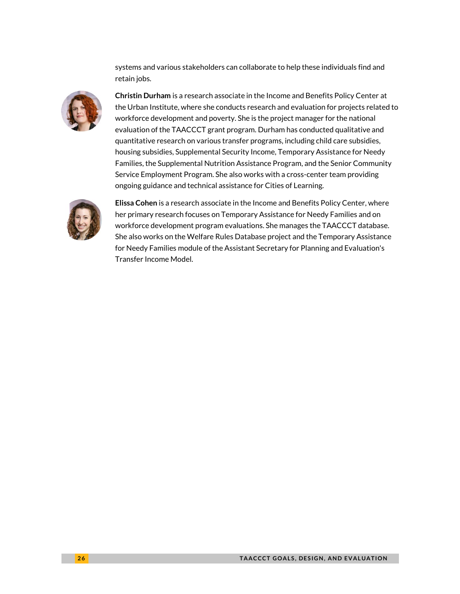systems and various stakeholders can collaborate to help these individuals find and retain jobs.



**Christin Durham** is a research associate in the Income and Benefits Policy Center at the Urban Institute, where she conducts research and evaluation for projects related to workforce development and poverty. She is the project manager for the national evaluation of the TAACCCT grant program. Durham has conducted qualitative and quantitative research on various transfer programs, including child care subsidies, housing subsidies, Supplemental Security Income, Temporary Assistance for Needy Families, the Supplemental Nutrition Assistance Program, and the Senior Community Service Employment Program. She also works with a cross-center team providing ongoing guidance and technical assistance for Cities of Learning.



**Elissa Cohen** is a research associate in the Income and Benefits Policy Center, where her primary research focuses on Temporary Assistance for Needy Families and on workforce development program evaluations. She manages the TAACCCT database. She also works on the Welfare Rules Database project and the Temporary Assistance for Needy Families module of the Assistant Secretary for Planning and Evaluation's Transfer Income Model.